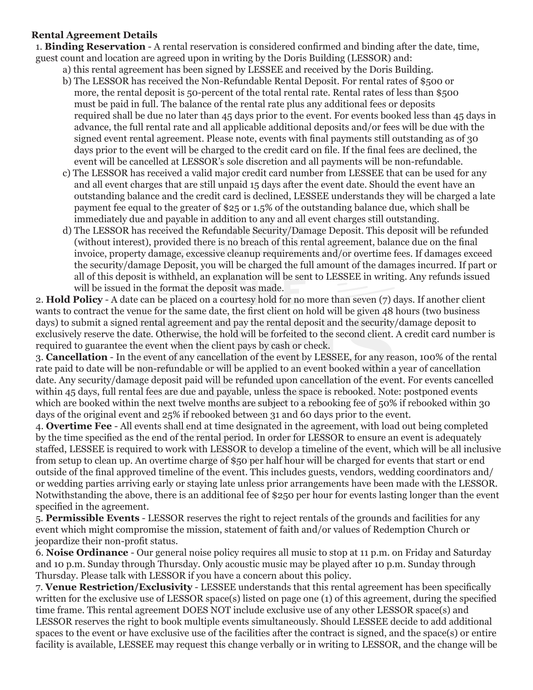### **Rental Agreement Details**

1. **Binding Reservation** - A rental reservation is considered confirmed and binding after the date, time, guest count and location are agreed upon in writing by the Doris Building (LESSOR) and:

- a) this rental agreement has been signed by LESSEE and received by the Doris Building.
- b) The LESSOR has received the Non-Refundable Rental Deposit. For rental rates of \$500 or more, the rental deposit is 50-percent of the total rental rate. Rental rates of less than \$500 must be paid in full. The balance of the rental rate plus any additional fees or deposits required shall be due no later than 45 days prior to the event. For events booked less than 45 days in advance, the full rental rate and all applicable additional deposits and/or fees will be due with the signed event rental agreement. Please note, events with final payments still outstanding as of 30 days prior to the event will be charged to the credit card on file. If the final fees are declined, the event will be cancelled at LESSOR's sole discretion and all payments will be non-refundable.
- c) The LESSOR has received a valid major credit card number from LESSEE that can be used for any and all event charges that are still unpaid 15 days after the event date. Should the event have an outstanding balance and the credit card is declined, LESSEE understands they will be charged a late payment fee equal to the greater of \$25 or 1.5% of the outstanding balance due, which shall be immediately due and payable in addition to any and all event charges still outstanding.
- d) The LESSOR has received the Refundable Security/Damage Deposit. This deposit will be refunded (without interest), provided there is no breach of this rental agreement, balance due on the final invoice, property damage, excessive cleanup requirements and/or overtime fees. If damages exceed the security/damage Deposit, you will be charged the full amount of the damages incurred. If part or all of this deposit is withheld, an explanation will be sent to LESSEE in writing. Any refunds issued will be issued in the format the deposit was made.

2. **Hold Policy** - A date can be placed on a courtesy hold for no more than seven (7) days. If another client wants to contract the venue for the same date, the first client on hold will be given 48 hours (two business days) to submit a signed rental agreement and pay the rental deposit and the security/damage deposit to exclusively reserve the date. Otherwise, the hold will be forfeited to the second client. A credit card number is required to guarantee the event when the client pays by cash or check.

3. **Cancellation** - In the event of any cancellation of the event by LESSEE, for any reason, 100% of the rental rate paid to date will be non-refundable or will be applied to an event booked within a year of cancellation date. Any security/damage deposit paid will be refunded upon cancellation of the event. For events cancelled within 45 days, full rental fees are due and payable, unless the space is rebooked. Note: postponed events which are booked within the next twelve months are subject to a rebooking fee of 50% if rebooked within 30 days of the original event and 25% if rebooked between 31 and 60 days prior to the event.

4. **Overtime Fee** - All events shall end at time designated in the agreement, with load out being completed by the time specified as the end of the rental period. In order for LESSOR to ensure an event is adequately staffed, LESSEE is required to work with LESSOR to develop a timeline of the event, which will be all inclusive from setup to clean up. An overtime charge of \$50 per half hour will be charged for events that start or end outside of the final approved timeline of the event. This includes guests, vendors, wedding coordinators and/ or wedding parties arriving early or staying late unless prior arrangements have been made with the LESSOR. Notwithstanding the above, there is an additional fee of \$250 per hour for events lasting longer than the event specified in the agreement.

5. **Permissible Events** - LESSOR reserves the right to reject rentals of the grounds and facilities for any event which might compromise the mission, statement of faith and/or values of Redemption Church or jeopardize their non-profit status.

6. **Noise Ordinance** - Our general noise policy requires all music to stop at 11 p.m. on Friday and Saturday and 10 p.m. Sunday through Thursday. Only acoustic music may be played after 10 p.m. Sunday through Thursday. Please talk with LESSOR if you have a concern about this policy.

7. **Venue Restriction/Exclusivity** - LESSEE understands that this rental agreement has been specifically written for the exclusive use of LESSOR space(s) listed on page one (1) of this agreement, during the specified time frame. This rental agreement DOES NOT include exclusive use of any other LESSOR space(s) and LESSOR reserves the right to book multiple events simultaneously. Should LESSEE decide to add additional spaces to the event or have exclusive use of the facilities after the contract is signed, and the space(s) or entire facility is available, LESSEE may request this change verbally or in writing to LESSOR, and the change will be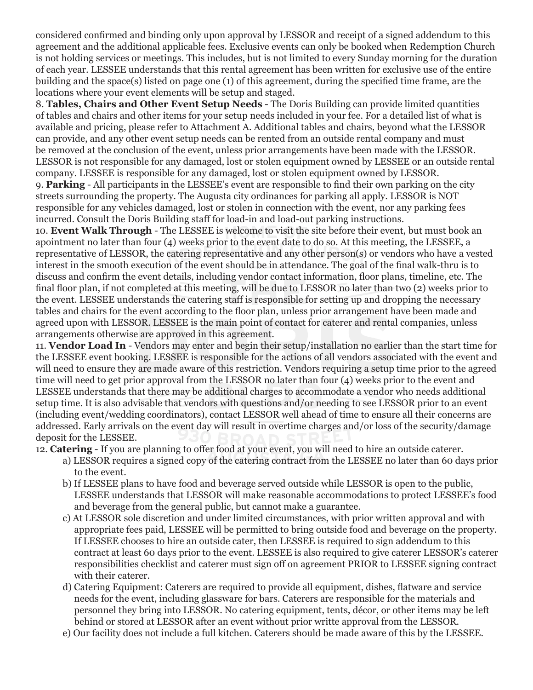considered confirmed and binding only upon approval by LESSOR and receipt of a signed addendum to this agreement and the additional applicable fees. Exclusive events can only be booked when Redemption Church is not holding services or meetings. This includes, but is not limited to every Sunday morning for the duration of each year. LESSEE understands that this rental agreement has been written for exclusive use of the entire building and the space(s) listed on page one (1) of this agreement, during the specified time frame, are the locations where your event elements will be setup and staged.

8. **Tables, Chairs and Other Event Setup Needs** - The Doris Building can provide limited quantities of tables and chairs and other items for your setup needs included in your fee. For a detailed list of what is available and pricing, please refer to Attachment A. Additional tables and chairs, beyond what the LESSOR can provide, and any other event setup needs can be rented from an outside rental company and must be removed at the conclusion of the event, unless prior arrangements have been made with the LESSOR. LESSOR is not responsible for any damaged, lost or stolen equipment owned by LESSEE or an outside rental company. LESSEE is responsible for any damaged, lost or stolen equipment owned by LESSOR.

9. **Parking** - All participants in the LESSEE's event are responsible to find their own parking on the city streets surrounding the property. The Augusta city ordinances for parking all apply. LESSOR is NOT responsible for any vehicles damaged, lost or stolen in connection with the event, nor any parking fees incurred. Consult the Doris Building staff for load-in and load-out parking instructions.

10. **Event Walk Through** - The LESSEE is welcome to visit the site before their event, but must book an apointment no later than four (4) weeks prior to the event date to do so. At this meeting, the LESSEE, a representative of LESSOR, the catering representative and any other person(s) or vendors who have a vested interest in the smooth execution of the event should be in attendance. The goal of the final walk-thru is to discuss and confirm the event details, including vendor contact information, floor plans, timeline, etc. The final floor plan, if not completed at this meeting, will be due to LESSOR no later than two (2) weeks prior to the event. LESSEE understands the catering staff is responsible for setting up and dropping the necessary tables and chairs for the event according to the floor plan, unless prior arrangement have been made and agreed upon with LESSOR. LESSEE is the main point of contact for caterer and rental companies, unless arrangements otherwise are approved in this agreement.

11. **Vendor Load In** - Vendors may enter and begin their setup/installation no earlier than the start time for the LESSEE event booking. LESSEE is responsible for the actions of all vendors associated with the event and will need to ensure they are made aware of this restriction. Vendors requiring a setup time prior to the agreed time will need to get prior approval from the LESSOR no later than four (4) weeks prior to the event and LESSEE understands that there may be additional charges to accommodate a vendor who needs additional setup time. It is also advisable that vendors with questions and/or needing to see LESSOR prior to an event (including event/wedding coordinators), contact LESSOR well ahead of time to ensure all their concerns are addressed. Early arrivals on the event day will result in overtime charges and/or loss of the security/damage deposit for the LESSEE.

12. **Catering** - If you are planning to offer food at your event, you will need to hire an outside caterer.

- a) LESSOR requires a signed copy of the catering contract from the LESSEE no later than 60 days prior to the event.
- b) If LESSEE plans to have food and beverage served outside while LESSOR is open to the public, LESSEE understands that LESSOR will make reasonable accommodations to protect LESSEE's food and beverage from the general public, but cannot make a guarantee.
- c) At LESSOR sole discretion and under limited circumstances, with prior written approval and with appropriate fees paid, LESSEE will be permitted to bring outside food and beverage on the property. If LESSEE chooses to hire an outside cater, then LESSEE is required to sign addendum to this contract at least 60 days prior to the event. LESSEE is also required to give caterer LESSOR's caterer responsibilities checklist and caterer must sign off on agreement PRIOR to LESSEE signing contract with their caterer.
- d) Catering Equipment: Caterers are required to provide all equipment, dishes, flatware and service needs for the event, including glassware for bars. Caterers are responsible for the materials and personnel they bring into LESSOR. No catering equipment, tents, décor, or other items may be left behind or stored at LESSOR after an event without prior writte approval from the LESSOR.
- e) Our facility does not include a full kitchen. Caterers should be made aware of this by the LESSEE.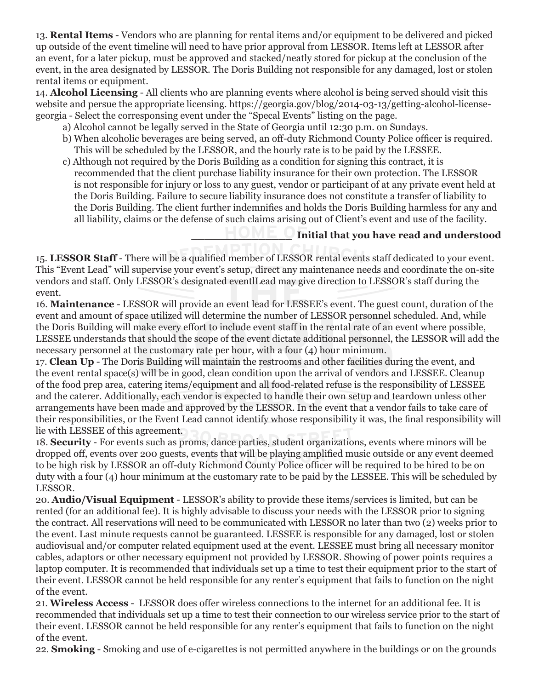13. **Rental Items** - Vendors who are planning for rental items and/or equipment to be delivered and picked up outside of the event timeline will need to have prior approval from LESSOR. Items left at LESSOR after an event, for a later pickup, must be approved and stacked/neatly stored for pickup at the conclusion of the event, in the area designated by LESSOR. The Doris Building not responsible for any damaged, lost or stolen rental items or equipment.

14. **Alcohol Licensing** - All clients who are planning events where alcohol is being served should visit this website and persue the appropriate licensing. https://georgia.gov/blog/2014-03-13/getting-alcohol-licensegeorgia - Select the corresponsing event under the "Specal Events" listing on the page.

- a) Alcohol cannot be legally served in the State of Georgia until 12:30 p.m. on Sundays.
- b) When alcoholic beverages are being served, an off-duty Richmond County Police officer is required. This will be scheduled by the LESSOR, and the hourly rate is to be paid by the LESSEE.
- c) Although not required by the Doris Building as a condition for signing this contract, it is recommended that the client purchase liability insurance for their own protection. The LESSOR is not responsible for injury or loss to any guest, vendor or participant of at any private event held at the Doris Building. Failure to secure liability insurance does not constitute a transfer of liability to the Doris Building. The client further indemnifies and holds the Doris Building harmless for any and all liability, claims or the defense of such claims arising out of Client's event and use of the facility.

## **\_\_\_\_\_\_\_\_\_\_\_\_\_\_\_ Initial that you have read and understood**

15. **LESSOR Staff** - There will be a qualified member of LESSOR rental events staff dedicated to your event. This "Event Lead" will supervise your event's setup, direct any maintenance needs and coordinate the on-site vendors and staff. Only LESSOR's designated eventlLead may give direction to LESSOR's staff during the event.

16. **Maintenance** - LESSOR will provide an event lead for LESSEE's event. The guest count, duration of the event and amount of space utilized will determine the number of LESSOR personnel scheduled. And, while the Doris Building will make every effort to include event staff in the rental rate of an event where possible, LESSEE understands that should the scope of the event dictate additional personnel, the LESSOR will add the necessary personnel at the customary rate per hour, with a four (4) hour minimum.

17. **Clean Up** - The Doris Building will maintain the restrooms and other facilities during the event, and the event rental space(s) will be in good, clean condition upon the arrival of vendors and LESSEE. Cleanup of the food prep area, catering items/equipment and all food-related refuse is the responsibility of LESSEE and the caterer. Additionally, each vendor is expected to handle their own setup and teardown unless other arrangements have been made and approved by the LESSOR. In the event that a vendor fails to take care of their responsibilities, or the Event Lead cannot identify whose responsibility it was, the final responsibility will lie with LESSEE of this agreement.

18. **Security** - For events such as proms, dance parties, student organizations, events where minors will be dropped off, events over 200 guests, events that will be playing amplified music outside or any event deemed to be high risk by LESSOR an off-duty Richmond County Police officer will be required to be hired to be on duty with a four (4) hour minimum at the customary rate to be paid by the LESSEE. This will be scheduled by LESSOR.

20. **Audio/Visual Equipment** - LESSOR's ability to provide these items/services is limited, but can be rented (for an additional fee). It is highly advisable to discuss your needs with the LESSOR prior to signing the contract. All reservations will need to be communicated with LESSOR no later than two (2) weeks prior to the event. Last minute requests cannot be guaranteed. LESSEE is responsible for any damaged, lost or stolen audiovisual and/or computer related equipment used at the event. LESSEE must bring all necessary monitor cables, adaptors or other necessary equipment not provided by LESSOR. Showing of power points requires a laptop computer. It is recommended that individuals set up a time to test their equipment prior to the start of their event. LESSOR cannot be held responsible for any renter's equipment that fails to function on the night of the event.

21. **Wireless Access** - LESSOR does offer wireless connections to the internet for an additional fee. It is recommended that individuals set up a time to test their connection to our wireless service prior to the start of their event. LESSOR cannot be held responsible for any renter's equipment that fails to function on the night of the event.

22. **Smoking** - Smoking and use of e-cigarettes is not permitted anywhere in the buildings or on the grounds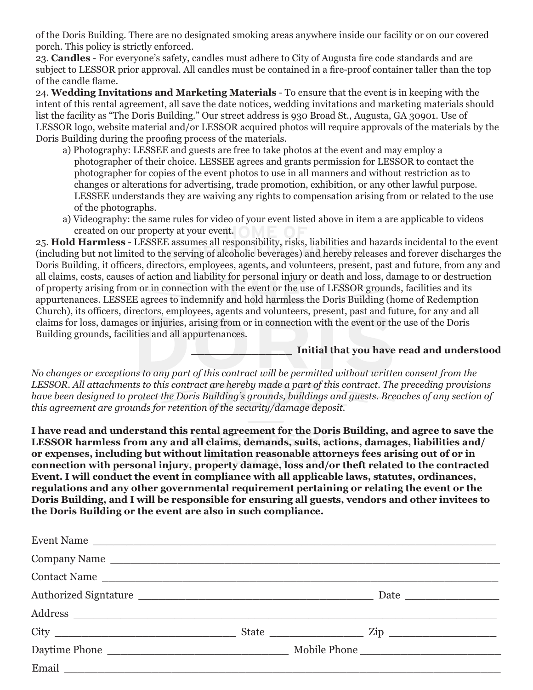of the Doris Building. There are no designated smoking areas anywhere inside our facility or on our covered porch. This policy is strictly enforced.

23. **Candles** - For everyone's safety, candles must adhere to City of Augusta fire code standards and are subject to LESSOR prior approval. All candles must be contained in a fire-proof container taller than the top of the candle flame.

24. **Wedding Invitations and Marketing Materials** - To ensure that the event is in keeping with the intent of this rental agreement, all save the date notices, wedding invitations and marketing materials should list the facility as "The Doris Building." Our street address is 930 Broad St., Augusta, GA 30901. Use of LESSOR logo, website material and/or LESSOR acquired photos will require approvals of the materials by the Doris Building during the proofing process of the materials.

- a) Photography: LESSEE and guests are free to take photos at the event and may employ a photographer of their choice. LESSEE agrees and grants permission for LESSOR to contact the photographer for copies of the event photos to use in all manners and without restriction as to changes or alterations for advertising, trade promotion, exhibition, or any other lawful purpose. LESSEE understands they are waiving any rights to compensation arising from or related to the use of the photographs.
- a) Videography: the same rules for video of your event listed above in item a are applicable to videos created on our property at your event.

25. **Hold Harmless** - LESSEE assumes all responsibility, risks, liabilities and hazards incidental to the event (including but not limited to the serving of alcoholic beverages) and hereby releases and forever discharges the Doris Building, it officers, directors, employees, agents, and volunteers, present, past and future, from any and all claims, costs, causes of action and liability for personal injury or death and loss, damage to or destruction of property arising from or in connection with the event or the use of LESSOR grounds, facilities and its appurtenances. LESSEE agrees to indemnify and hold harmless the Doris Building (home of Redemption Church), its officers, directors, employees, agents and volunteers, present, past and future, for any and all claims for loss, damages or injuries, arising from or in connection with the event or the use of the Doris Building grounds, facilities and all appurtenances.

**\_\_\_\_\_\_\_\_\_\_\_\_\_\_\_ Initial that you have read and understood**

*No changes or exceptions to any part of this contract will be permitted without written consent from the LESSOR. All attachments to this contract are hereby made a part of this contract. The preceding provisions have been designed to protect the Doris Building's grounds, buildings and guests. Breaches of any section of this agreement are grounds for retention of the security/damage deposit.*

**I have read and understand this rental agreement for the Doris Building, and agree to save the LESSOR harmless from any and all claims, demands, suits, actions, damages, liabilities and/ or expenses, including but without limitation reasonable attorneys fees arising out of or in connection with personal injury, property damage, loss and/or theft related to the contracted Event. I will conduct the event in compliance with all applicable laws, statutes, ordinances, regulations and any other governmental requirement pertaining or relating the event or the Doris Building, and I will be responsible for ensuring all guests, vendors and other invitees to the Doris Building or the event are also in such compliance.**

| Event Name   |  |
|--------------|--|
| Company Name |  |
| Contact Name |  |
|              |  |
|              |  |
|              |  |
|              |  |
|              |  |